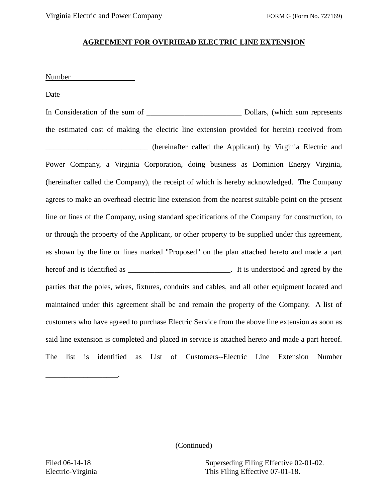## **AGREEMENT FOR OVERHEAD ELECTRIC LINE EXTENSION**

Number

Date

In Consideration of the sum of  $\Box$  Dollars, (which sum represents the estimated cost of making the electric line extension provided for herein) received from \_\_\_\_\_\_\_\_\_\_\_\_\_\_\_\_\_\_\_\_\_\_\_\_\_\_\_ (hereinafter called the Applicant) by Virginia Electric and Power Company, a Virginia Corporation, doing business as Dominion Energy Virginia, (hereinafter called the Company), the receipt of which is hereby acknowledged. The Company agrees to make an overhead electric line extension from the nearest suitable point on the present line or lines of the Company, using standard specifications of the Company for construction, to or through the property of the Applicant, or other property to be supplied under this agreement, as shown by the line or lines marked "Proposed" on the plan attached hereto and made a part hereof and is identified as \_\_\_\_\_\_\_\_\_\_\_\_\_\_\_\_\_\_\_\_\_\_\_\_\_\_\_. It is understood and agreed by the parties that the poles, wires, fixtures, conduits and cables, and all other equipment located and maintained under this agreement shall be and remain the property of the Company. A list of customers who have agreed to purchase Electric Service from the above line extension as soon as said line extension is completed and placed in service is attached hereto and made a part hereof. The list is identified as List of Customers--Electric Line Extension Number

(Continued)

Filed 06-14-18 Superseding Filing Effective 02-01-02. Electric-Virginia This Filing Effective 07-01-18.

\_\_\_\_\_\_\_\_\_\_\_\_\_\_\_\_\_\_\_.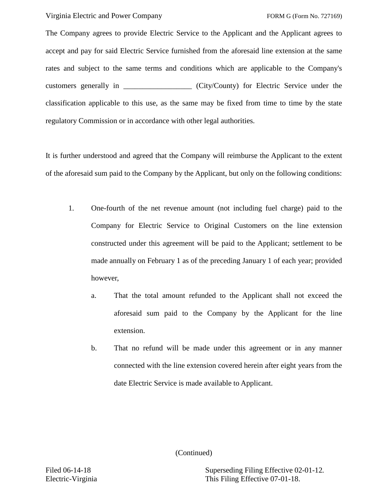Virginia Electric and Power Company FORM G (Form No. 727169)

The Company agrees to provide Electric Service to the Applicant and the Applicant agrees to accept and pay for said Electric Service furnished from the aforesaid line extension at the same rates and subject to the same terms and conditions which are applicable to the Company's customers generally in \_\_\_\_\_\_\_\_\_\_\_\_\_\_\_\_\_\_ (City/County) for Electric Service under the classification applicable to this use, as the same may be fixed from time to time by the state regulatory Commission or in accordance with other legal authorities.

It is further understood and agreed that the Company will reimburse the Applicant to the extent of the aforesaid sum paid to the Company by the Applicant, but only on the following conditions:

- 1. One-fourth of the net revenue amount (not including fuel charge) paid to the Company for Electric Service to Original Customers on the line extension constructed under this agreement will be paid to the Applicant; settlement to be made annually on February 1 as of the preceding January 1 of each year; provided however,
	- a. That the total amount refunded to the Applicant shall not exceed the aforesaid sum paid to the Company by the Applicant for the line extension.
	- b. That no refund will be made under this agreement or in any manner connected with the line extension covered herein after eight years from the date Electric Service is made available to Applicant.

(Continued)

Filed 06-14-18 Superseding Filing Effective 02-01-12. Electric-Virginia This Filing Effective 07-01-18.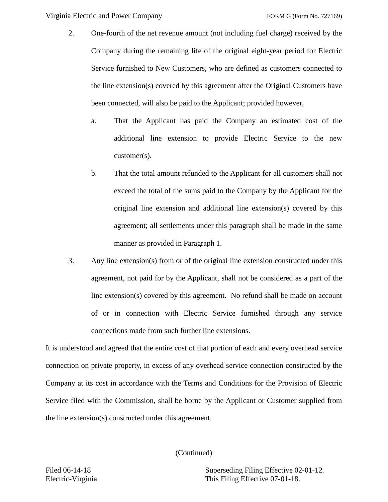Virginia Electric and Power Company FORM G (Form No. 727169)

- 2. One-fourth of the net revenue amount (not including fuel charge) received by the Company during the remaining life of the original eight-year period for Electric Service furnished to New Customers, who are defined as customers connected to the line extension(s) covered by this agreement after the Original Customers have been connected, will also be paid to the Applicant; provided however,
	- a. That the Applicant has paid the Company an estimated cost of the additional line extension to provide Electric Service to the new customer(s).
	- b. That the total amount refunded to the Applicant for all customers shall not exceed the total of the sums paid to the Company by the Applicant for the original line extension and additional line extension(s) covered by this agreement; all settlements under this paragraph shall be made in the same manner as provided in Paragraph 1.
- 3. Any line extension(s) from or of the original line extension constructed under this agreement, not paid for by the Applicant, shall not be considered as a part of the line extension(s) covered by this agreement. No refund shall be made on account of or in connection with Electric Service furnished through any service connections made from such further line extensions.

It is understood and agreed that the entire cost of that portion of each and every overhead service connection on private property, in excess of any overhead service connection constructed by the Company at its cost in accordance with the Terms and Conditions for the Provision of Electric Service filed with the Commission, shall be borne by the Applicant or Customer supplied from the line extension(s) constructed under this agreement.

(Continued)

Filed 06-14-18 Superseding Filing Effective 02-01-12. Electric-Virginia This Filing Effective 07-01-18.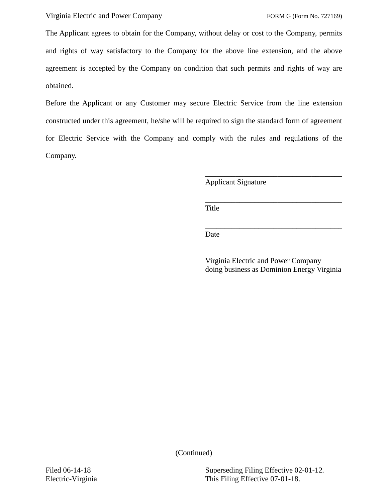The Applicant agrees to obtain for the Company, without delay or cost to the Company, permits and rights of way satisfactory to the Company for the above line extension, and the above agreement is accepted by the Company on condition that such permits and rights of way are obtained.

Before the Applicant or any Customer may secure Electric Service from the line extension constructed under this agreement, he/she will be required to sign the standard form of agreement for Electric Service with the Company and comply with the rules and regulations of the Company.

Applicant Signature

\_\_\_\_\_\_\_\_\_\_\_\_\_\_\_\_\_\_\_\_\_\_\_\_\_\_\_\_\_\_\_\_\_\_\_\_ Title

Date

Virginia Electric and Power Company doing business as Dominion Energy Virginia

\_\_\_\_\_\_\_\_\_\_\_\_\_\_\_\_\_\_\_\_\_\_\_\_\_\_\_\_\_\_\_\_\_\_\_\_

\_\_\_\_\_\_\_\_\_\_\_\_\_\_\_\_\_\_\_\_\_\_\_\_\_\_\_\_\_\_\_\_\_\_\_\_

(Continued)

Filed 06-14-18 Superseding Filing Effective 02-01-12. Electric-Virginia This Filing Effective 07-01-18.